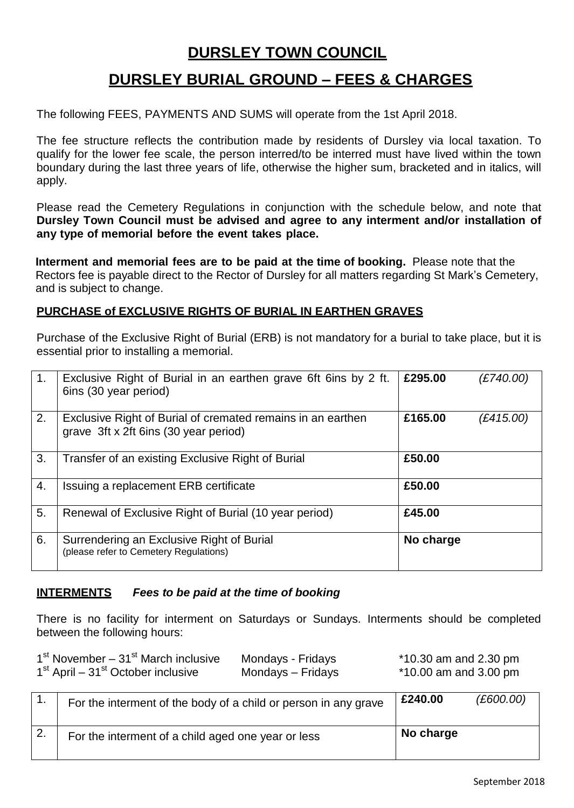# **DURSLEY TOWN COUNCIL**

# **DURSLEY BURIAL GROUND – FEES & CHARGES**

The following FEES, PAYMENTS AND SUMS will operate from the 1st April 2018.

The fee structure reflects the contribution made by residents of Dursley via local taxation. To qualify for the lower fee scale, the person interred/to be interred must have lived within the town boundary during the last three years of life, otherwise the higher sum, bracketed and in italics, will apply.

Please read the Cemetery Regulations in conjunction with the schedule below, and note that **Dursley Town Council must be advised and agree to any interment and/or installation of any type of memorial before the event takes place.** 

**Interment and memorial fees are to be paid at the time of booking.** Please note that the Rectors fee is payable direct to the Rector of Dursley for all matters regarding St Mark's Cemetery, and is subject to change.

### **PURCHASE of EXCLUSIVE RIGHTS OF BURIAL IN EARTHEN GRAVES**

Purchase of the Exclusive Right of Burial (ERB) is not mandatory for a burial to take place, but it is essential prior to installing a memorial.

| 1. | Exclusive Right of Burial in an earthen grave 6ft 6ins by 2 ft.<br>6ins (30 year period)             | £295.00   | (E740.00) |
|----|------------------------------------------------------------------------------------------------------|-----------|-----------|
| 2. | Exclusive Right of Burial of cremated remains in an earthen<br>grave 3ft x 2ft 6ins (30 year period) | £165.00   | (E415.00) |
| 3. | Transfer of an existing Exclusive Right of Burial                                                    | £50.00    |           |
| 4. | Issuing a replacement ERB certificate                                                                | £50.00    |           |
| 5. | Renewal of Exclusive Right of Burial (10 year period)                                                | £45.00    |           |
| 6. | Surrendering an Exclusive Right of Burial<br>(please refer to Cemetery Regulations)                  | No charge |           |

#### **INTERMENTS** *Fees to be paid at the time of booking*

There is no facility for interment on Saturdays or Sundays. Interments should be completed between the following hours:

| $1st$ November – $31st$ March inclusive                    | Mondays - Fridays | $*10.30$ am and 2.30 pm |
|------------------------------------------------------------|-------------------|-------------------------|
| 1 <sup>st</sup> April – 31 <sup>st</sup> October inclusive | Mondays – Fridays | $*10.00$ am and 3.00 pm |

| For the interment of the body of a child or person in any grave | £240.00   | (E600.00) |
|-----------------------------------------------------------------|-----------|-----------|
| For the interment of a child aged one year or less              | No charge |           |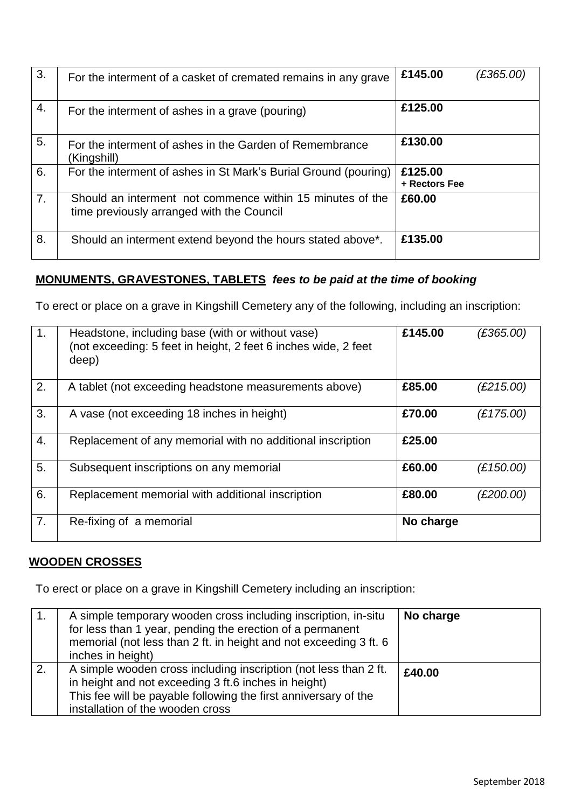| 3. | For the interment of a casket of cremated remains in any grave                                         | £145.00                  | (£365.00) |
|----|--------------------------------------------------------------------------------------------------------|--------------------------|-----------|
| 4. | For the interment of ashes in a grave (pouring)                                                        | £125.00                  |           |
| 5. | For the interment of ashes in the Garden of Remembrance<br>(Kingshill)                                 | £130.00                  |           |
| 6. | For the interment of ashes in St Mark's Burial Ground (pouring)                                        | £125.00<br>+ Rectors Fee |           |
| 7. | Should an interment not commence within 15 minutes of the<br>time previously arranged with the Council | £60.00                   |           |
| 8. | Should an interment extend beyond the hours stated above <sup>*</sup> .                                | £135.00                  |           |

# **MONUMENTS, GRAVESTONES, TABLETS** *fees to be paid at the time of booking*

To erect or place on a grave in Kingshill Cemetery any of the following, including an inscription:

| $\mathbf 1$ .    | Headstone, including base (with or without vase)<br>(not exceeding: 5 feet in height, 2 feet 6 inches wide, 2 feet<br>deep) | £145.00   | (E365.00) |
|------------------|-----------------------------------------------------------------------------------------------------------------------------|-----------|-----------|
| 2.               | A tablet (not exceeding headstone measurements above)                                                                       | £85.00    | (£215.00) |
| 3.               | A vase (not exceeding 18 inches in height)                                                                                  | £70.00    | (E175.00) |
| $\overline{4}$ . | Replacement of any memorial with no additional inscription                                                                  | £25.00    |           |
| 5.               | Subsequent inscriptions on any memorial                                                                                     | £60.00    | (E150.00) |
| 6.               | Replacement memorial with additional inscription                                                                            | £80.00    | (£200.00) |
| 7.               | Re-fixing of a memorial                                                                                                     | No charge |           |

## **WOODEN CROSSES**

To erect or place on a grave in Kingshill Cemetery including an inscription:

| A simple temporary wooden cross including inscription, in-situ<br>for less than 1 year, pending the erection of a permanent<br>memorial (not less than 2 ft. in height and not exceeding 3 ft. 6<br>inches in height)           | No charge |
|---------------------------------------------------------------------------------------------------------------------------------------------------------------------------------------------------------------------------------|-----------|
| A simple wooden cross including inscription (not less than 2 ft.<br>in height and not exceeding 3 ft.6 inches in height)<br>This fee will be payable following the first anniversary of the<br>installation of the wooden cross | £40.00    |